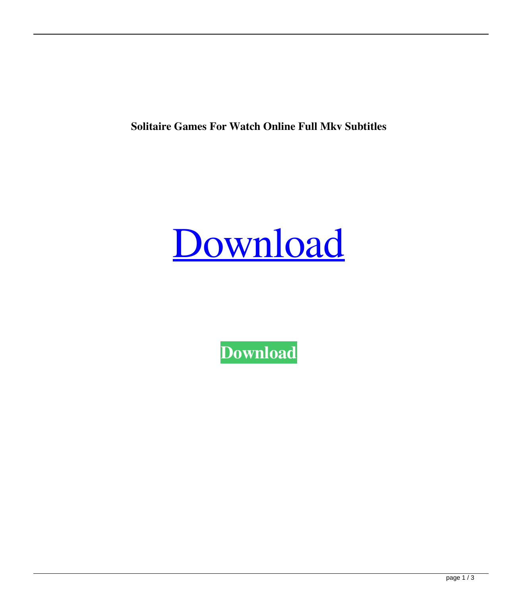**Solitaire Games For Watch Online Full Mkv Subtitles**

## [Download](http://evacdir.com/tidbit/harddrive/helsel/grove/kidszone/?pulverizers&ZG93bmxvYWQgZnJlZSBzb2xpdGFpcmUgZ2FtZXMgZm9yIHBjZG9=ZG93bmxvYWR8Vjg2WTJrNGZId3hOalV5TnpRd09EWTJmSHd5TlRjMGZId29UU2tnY21WaFpDMWliRzluSUZ0R1lYTjBJRWRGVGww)

**[Download](http://evacdir.com/tidbit/harddrive/helsel/grove/kidszone/?pulverizers&ZG93bmxvYWQgZnJlZSBzb2xpdGFpcmUgZ2FtZXMgZm9yIHBjZG9=ZG93bmxvYWR8Vjg2WTJrNGZId3hOalV5TnpRd09EWTJmSHd5TlRjMGZId29UU2tnY21WaFpDMWliRzluSUZ0R1lYTjBJRWRGVGww)**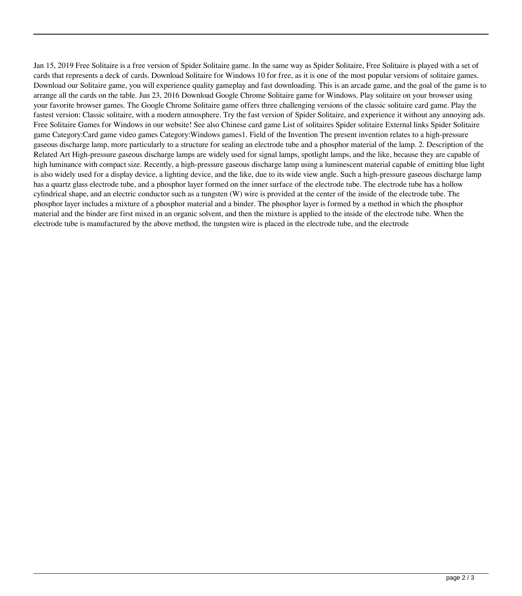Jan 15, 2019 Free Solitaire is a free version of Spider Solitaire game. In the same way as Spider Solitaire, Free Solitaire is played with a set of cards that represents a deck of cards. Download Solitaire for Windows 10 for free, as it is one of the most popular versions of solitaire games. Download our Solitaire game, you will experience quality gameplay and fast downloading. This is an arcade game, and the goal of the game is to arrange all the cards on the table. Jun 23, 2016 Download Google Chrome Solitaire game for Windows. Play solitaire on your browser using your favorite browser games. The Google Chrome Solitaire game offers three challenging versions of the classic solitaire card game. Play the fastest version: Classic solitaire, with a modern atmosphere. Try the fast version of Spider Solitaire, and experience it without any annoying ads. Free Solitaire Games for Windows in our website! See also Chinese card game List of solitaires Spider solitaire External links Spider Solitaire game Category:Card game video games Category:Windows games1. Field of the Invention The present invention relates to a high-pressure gaseous discharge lamp, more particularly to a structure for sealing an electrode tube and a phosphor material of the lamp. 2. Description of the Related Art High-pressure gaseous discharge lamps are widely used for signal lamps, spotlight lamps, and the like, because they are capable of high luminance with compact size. Recently, a high-pressure gaseous discharge lamp using a luminescent material capable of emitting blue light is also widely used for a display device, a lighting device, and the like, due to its wide view angle. Such a high-pressure gaseous discharge lamp has a quartz glass electrode tube, and a phosphor layer formed on the inner surface of the electrode tube. The electrode tube has a hollow cylindrical shape, and an electric conductor such as a tungsten (W) wire is provided at the center of the inside of the electrode tube. The phosphor layer includes a mixture of a phosphor material and a binder. The phosphor layer is formed by a method in which the phosphor material and the binder are first mixed in an organic solvent, and then the mixture is applied to the inside of the electrode tube. When the electrode tube is manufactured by the above method, the tungsten wire is placed in the electrode tube, and the electrode